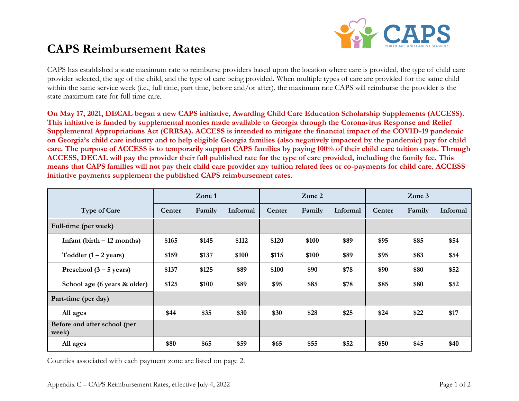

# **CAPS Reimbursement Rates**

CAPS has established a state maximum rate to reimburse providers based upon the location where care is provided, the type of child care provider selected, the age of the child, and the type of care being provided. When multiple types of care are provided for the same child within the same service week (i.e., full time, part time, before and/or after), the maximum rate CAPS will reimburse the provider is the state maximum rate for full time care.

**On May 17, 2021, DECAL began a new CAPS initiative, Awarding Child Care Education Scholarship Supplements (ACCESS). This initiative is funded by supplemental monies made available to Georgia through the Coronavirus Response and Relief Supplemental Appropriations Act (CRRSA). ACCESS is intended to mitigate the financial impact of the COVID-19 pandemic on Georgia's child care industry and to help eligible Georgia families (also negatively impacted by the pandemic) pay for child care. The purpose of ACCESS is to temporarily support CAPS families by paying 100% of their child care tuition costs. Through ACCESS, DECAL will pay the provider their full published rate for the type of care provided, including the family fee. This means that CAPS families will not pay their child care provider any tuition related fees or co-payments for child care. ACCESS initiative payments supplement the published CAPS reimbursement rates.**

|                                       | Zone 1 |        |          | Zone 2 |        |          | $\mathbf{Zone}$ 3 |        |          |
|---------------------------------------|--------|--------|----------|--------|--------|----------|-------------------|--------|----------|
| <b>Type of Care</b>                   | Center | Family | Informal | Center | Family | Informal | Center            | Family | Informal |
| Full-time (per week)                  |        |        |          |        |        |          |                   |        |          |
| Infant (birth $-12$ months)           | \$165  | \$145  | \$112    | \$120  | \$100  | \$89     | \$95              | \$85   | \$54     |
| Toddler $(1 – 2 \text{ years})$       | \$159  | \$137  | \$100    | \$115  | \$100  | \$89     | \$95              | \$83   | \$54     |
| Preschool $(3 - 5$ years)             | \$137  | \$125  | \$89     | \$100  | \$90   | \$78     | \$90              | \$80   | \$52     |
| School age (6 years & older)          | \$125  | \$100  | \$89     | \$95   | \$85   | \$78     | \$85              | \$80   | \$52     |
| Part-time (per day)                   |        |        |          |        |        |          |                   |        |          |
| All ages                              | \$44   | \$35   | \$30     | \$30   | \$28   | \$25     | \$24              | \$22   | \$17     |
| Before and after school (per<br>week) |        |        |          |        |        |          |                   |        |          |
| All ages                              | \$80   | \$65   | \$59     | \$65   | \$55   | \$52     | \$50              | \$45   | \$40     |

Counties associated with each payment zone are listed on page 2.